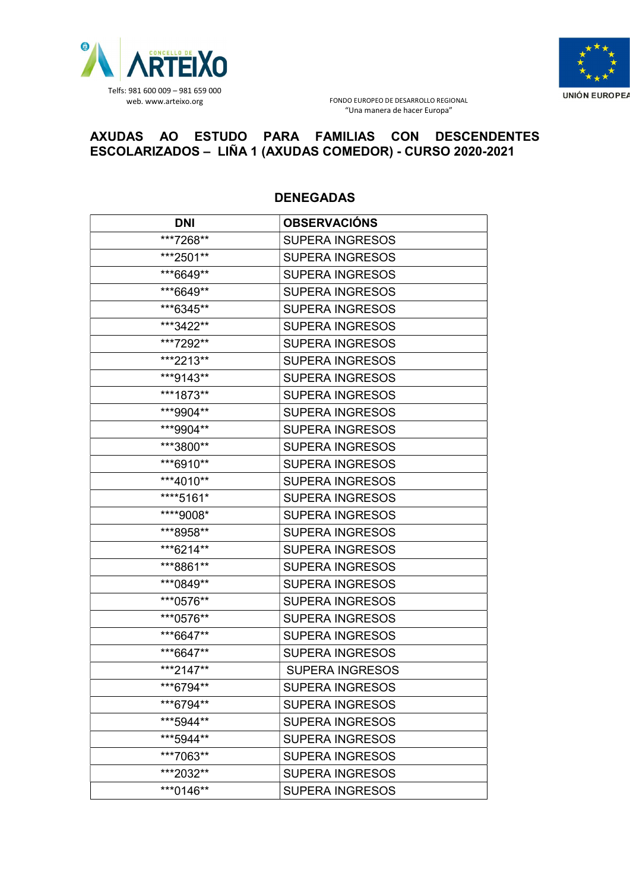



## AXUDAS AO ESTUDO PARA FAMILIAS CON DESCENDENTES ESCOLARIZADOS – LIÑA 1 (AXUDAS COMEDOR) - CURSO 2020-2021

| <b>DNI</b> | <b>OBSERVACIÓNS</b>    |
|------------|------------------------|
| ***7268**  | <b>SUPERA INGRESOS</b> |
| ***2501**  | <b>SUPERA INGRESOS</b> |
| ***6649**  | <b>SUPERA INGRESOS</b> |
| ***6649**  | <b>SUPERA INGRESOS</b> |
| ***6345**  | <b>SUPERA INGRESOS</b> |
| ***3422**  | <b>SUPERA INGRESOS</b> |
| ***7292**  | <b>SUPERA INGRESOS</b> |
| ***2213**  | <b>SUPERA INGRESOS</b> |
| ***9143**  | <b>SUPERA INGRESOS</b> |
| ***1873**  | <b>SUPERA INGRESOS</b> |
| ***9904**  | <b>SUPERA INGRESOS</b> |
| ***9904**  | <b>SUPERA INGRESOS</b> |
| ***3800**  | <b>SUPERA INGRESOS</b> |
| ***6910**  | <b>SUPERA INGRESOS</b> |
| ***4010**  | <b>SUPERA INGRESOS</b> |
| ****5161*  | <b>SUPERA INGRESOS</b> |
| ****9008*  | <b>SUPERA INGRESOS</b> |
| ***8958**  | <b>SUPERA INGRESOS</b> |
| ***6214**  | <b>SUPERA INGRESOS</b> |
| ***8861**  | <b>SUPERA INGRESOS</b> |
| ***0849**  | <b>SUPERA INGRESOS</b> |
| ***0576**  | <b>SUPERA INGRESOS</b> |
| ***0576**  | <b>SUPERA INGRESOS</b> |
| ***6647**  | <b>SUPERA INGRESOS</b> |
| ***6647**  | <b>SUPERA INGRESOS</b> |
| ***2147**  | <b>SUPERA INGRESOS</b> |
| ***6794**  | <b>SUPERA INGRESOS</b> |
| ***6794**  | <b>SUPERA INGRESOS</b> |
| ***5944**  | <b>SUPERA INGRESOS</b> |
| ***5944**  | <b>SUPERA INGRESOS</b> |
| ***7063**  | <b>SUPERA INGRESOS</b> |
| ***2032**  | <b>SUPERA INGRESOS</b> |
| ***0146**  | <b>SUPERA INGRESOS</b> |

## DENEGADAS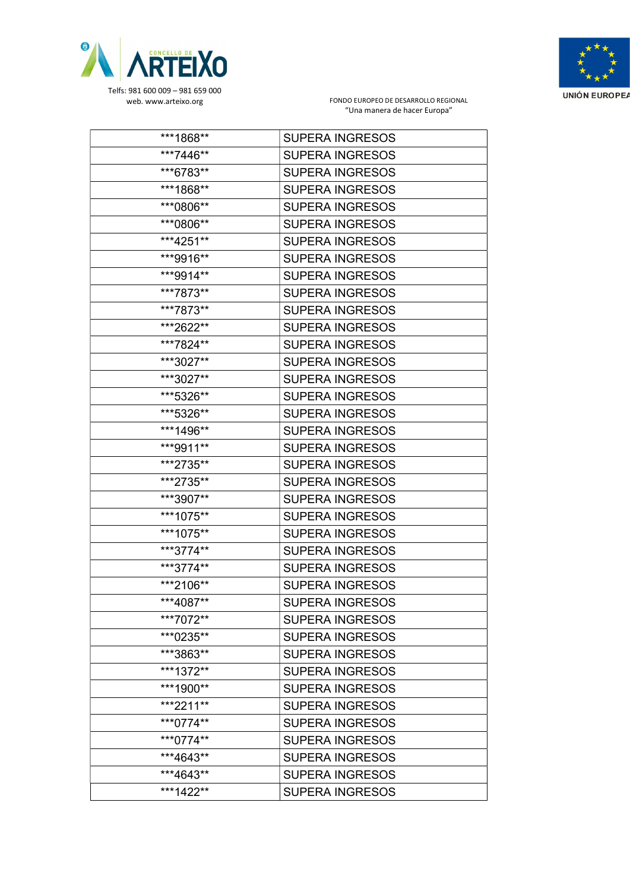



| ***1868** | <b>SUPERA INGRESOS</b> |
|-----------|------------------------|
| ***7446** | <b>SUPERA INGRESOS</b> |
| ***6783** | <b>SUPERA INGRESOS</b> |
| ***1868** | <b>SUPERA INGRESOS</b> |
| ***0806** | <b>SUPERA INGRESOS</b> |
| ***0806** | <b>SUPERA INGRESOS</b> |
| ***4251** | <b>SUPERA INGRESOS</b> |
| ***9916** | <b>SUPERA INGRESOS</b> |
| ***9914** | <b>SUPERA INGRESOS</b> |
| ***7873** | <b>SUPERA INGRESOS</b> |
| ***7873** | <b>SUPERA INGRESOS</b> |
| ***2622** | <b>SUPERA INGRESOS</b> |
| ***7824** | <b>SUPERA INGRESOS</b> |
| ***3027** | <b>SUPERA INGRESOS</b> |
| ***3027** | <b>SUPERA INGRESOS</b> |
| ***5326** | <b>SUPERA INGRESOS</b> |
| ***5326** | <b>SUPERA INGRESOS</b> |
| ***1496** | <b>SUPERA INGRESOS</b> |
| ***9911** | <b>SUPERA INGRESOS</b> |
| ***2735** | <b>SUPERA INGRESOS</b> |
| ***2735** | <b>SUPERA INGRESOS</b> |
| ***3907** | <b>SUPERA INGRESOS</b> |
| ***1075** | <b>SUPERA INGRESOS</b> |
| ***1075** | <b>SUPERA INGRESOS</b> |
| ***3774** | <b>SUPERA INGRESOS</b> |
| ***3774** | <b>SUPERA INGRESOS</b> |
| ***2106** | <b>SUPERA INGRESOS</b> |
| ***4087** | <b>SUPERA INGRESOS</b> |
| ***7072** | <b>SUPERA INGRESOS</b> |
| ***0235** | <b>SUPERA INGRESOS</b> |
| ***3863** | <b>SUPERA INGRESOS</b> |
| ***1372** | <b>SUPERA INGRESOS</b> |
| ***1900** | <b>SUPERA INGRESOS</b> |
| ***2211** | <b>SUPERA INGRESOS</b> |
| ***0774** | <b>SUPERA INGRESOS</b> |
| ***0774** | <b>SUPERA INGRESOS</b> |
| ***4643** | <b>SUPERA INGRESOS</b> |
| ***4643** | <b>SUPERA INGRESOS</b> |
| ***1422** | <b>SUPERA INGRESOS</b> |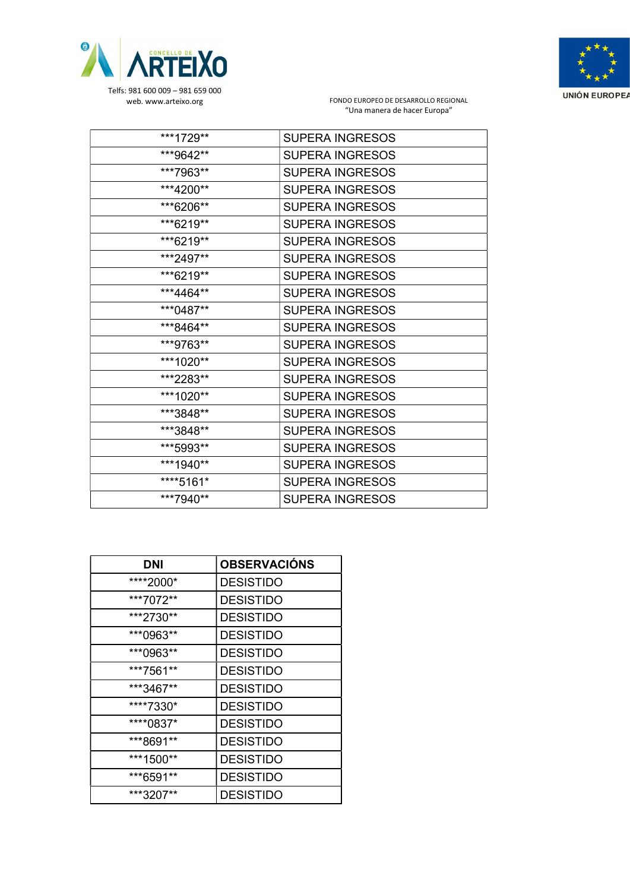



| ***1729** | <b>SUPERA INGRESOS</b> |
|-----------|------------------------|
| ***9642** | <b>SUPERA INGRESOS</b> |
| ***7963** | <b>SUPERA INGRESOS</b> |
| ***4200** | <b>SUPERA INGRESOS</b> |
| ***6206** | <b>SUPERA INGRESOS</b> |
| ***6219** | <b>SUPERA INGRESOS</b> |
| ***6219** | <b>SUPERA INGRESOS</b> |
| ***2497** | <b>SUPERA INGRESOS</b> |
| ***6219** | <b>SUPERA INGRESOS</b> |
| ***4464** | <b>SUPERA INGRESOS</b> |
| ***0487** | <b>SUPERA INGRESOS</b> |
| ***8464** | <b>SUPERA INGRESOS</b> |
| ***9763** | <b>SUPERA INGRESOS</b> |
| ***1020** | <b>SUPERA INGRESOS</b> |
| ***2283** | <b>SUPERA INGRESOS</b> |
| ***1020** | <b>SUPERA INGRESOS</b> |
| ***3848** | <b>SUPERA INGRESOS</b> |
| ***3848** | <b>SUPERA INGRESOS</b> |
| ***5993** | <b>SUPERA INGRESOS</b> |
| ***1940** | <b>SUPERA INGRESOS</b> |
| ****5161* | <b>SUPERA INGRESOS</b> |
| ***7940** | <b>SUPERA INGRESOS</b> |

| DNI       | <b>OBSERVACIÓNS</b> |
|-----------|---------------------|
| ****2000* | <b>DESISTIDO</b>    |
| ***7072** | <b>DESISTIDO</b>    |
| ***2730** | <b>DESISTIDO</b>    |
| ***0963** | <b>DESISTIDO</b>    |
| ***0963** | <b>DESISTIDO</b>    |
| ***7561** | <b>DESISTIDO</b>    |
| ***3467** | <b>DESISTIDO</b>    |
| ****7330* | <b>DESISTIDO</b>    |
| ****0837* | <b>DESISTIDO</b>    |
| ***8691** | <b>DESISTIDO</b>    |
| ***1500** | <b>DESISTIDO</b>    |
| ***6591** | <b>DESISTIDO</b>    |
| ***3207** | <b>DESISTIDO</b>    |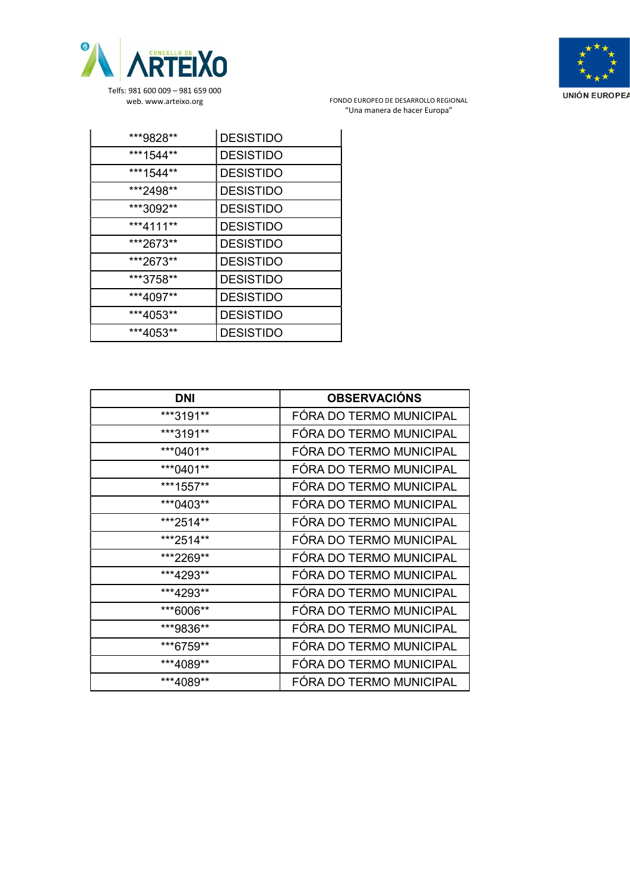



| ***9828** | <b>DESISTIDO</b> |
|-----------|------------------|
| ***1544** | <b>DESISTIDO</b> |
| ***1544** | <b>DESISTIDO</b> |
| ***2498** | <b>DESISTIDO</b> |
| ***3092** | <b>DESISTIDO</b> |
| ***4111** | <b>DESISTIDO</b> |
| ***2673** | <b>DESISTIDO</b> |
| ***2673** | <b>DESISTIDO</b> |
| ***3758** | <b>DESISTIDO</b> |
| ***4097** | <b>DESISTIDO</b> |
| ***4053** | <b>DESISTIDO</b> |
| ***4053** | <b>DESISTIDO</b> |

| <b>DNI</b> | <b>OBSERVACIÓNS</b>     |
|------------|-------------------------|
| ***3191**  | FÓRA DO TERMO MUNICIPAL |
| ***3191**  | FÓRA DO TERMO MUNICIPAL |
| ***0401**  | FÓRA DO TERMO MUNICIPAL |
| ***0401**  | FÓRA DO TERMO MUNICIPAL |
| ***1557**  | FÓRA DO TERMO MUNICIPAL |
| ***0403**  | FÓRA DO TERMO MUNICIPAL |
| ***2514**  | FÓRA DO TERMO MUNICIPAL |
| ***2514**  | FÓRA DO TERMO MUNICIPAL |
| ***2269**  | FÓRA DO TERMO MUNICIPAL |
| ***4293**  | FÓRA DO TERMO MUNICIPAL |
| ***4293**  | FÓRA DO TERMO MUNICIPAL |
| ***6006**  | FÓRA DO TERMO MUNICIPAL |
| ***9836**  | FÓRA DO TERMO MUNICIPAL |
| ***6759**  | FÓRA DO TERMO MUNICIPAL |
| ***4089**  | FÓRA DO TERMO MUNICIPAL |
| ***4089**  | FÓRA DO TERMO MUNICIPAL |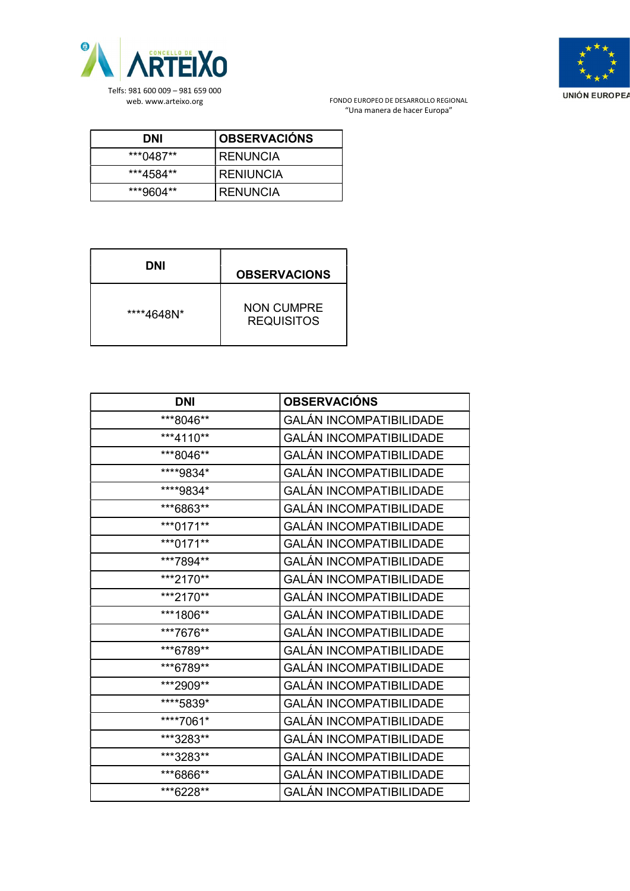



| DNI       | <b>OBSERVACIÓNS</b> |
|-----------|---------------------|
| ***0487** | <b>I RENUNCIA</b>   |
| ***4584** | I RENIUNCIA         |
| ***9604** | RENUNCIA            |

| DNI        | <b>OBSERVACIONS</b>                    |
|------------|----------------------------------------|
| ****4648N* | <b>NON CUMPRE</b><br><b>REQUISITOS</b> |

| <b>DNI</b> | <b>OBSERVACIÓNS</b>            |
|------------|--------------------------------|
| ***8046**  | <b>GALÁN INCOMPATIBILIDADE</b> |
| ***4110**  | <b>GALÁN INCOMPATIBILIDADE</b> |
| ***8046**  | <b>GALÁN INCOMPATIBILIDADE</b> |
| ****9834*  | <b>GALÁN INCOMPATIBILIDADE</b> |
| ****9834*  | <b>GALÁN INCOMPATIBILIDADE</b> |
| ***6863**  | <b>GALÁN INCOMPATIBILIDADE</b> |
| ***0171**  | <b>GALÁN INCOMPATIBILIDADE</b> |
| ***0171**  | <b>GALÁN INCOMPATIBILIDADE</b> |
| ***7894**  | <b>GALÁN INCOMPATIBILIDADE</b> |
| ***2170**  | <b>GALÁN INCOMPATIBILIDADE</b> |
| ***2170**  | <b>GALÁN INCOMPATIBILIDADE</b> |
| ***1806**  | <b>GALÁN INCOMPATIBILIDADE</b> |
| ***7676**  | <b>GALÁN INCOMPATIBILIDADE</b> |
| ***6789**  | <b>GALÁN INCOMPATIBILIDADE</b> |
| ***6789**  | <b>GALÁN INCOMPATIBILIDADE</b> |
| ***2909**  | <b>GALÁN INCOMPATIBILIDADE</b> |
| ****5839*  | <b>GALÁN INCOMPATIBILIDADE</b> |
| ****7061*  | <b>GALÁN INCOMPATIBILIDADE</b> |
| ***3283**  | <b>GALÁN INCOMPATIBILIDADE</b> |
| ***3283**  | <b>GALÁN INCOMPATIBILIDADE</b> |
| ***6866**  | <b>GALÁN INCOMPATIBILIDADE</b> |
| ***6228**  | <b>GALÁN INCOMPATIBILIDADE</b> |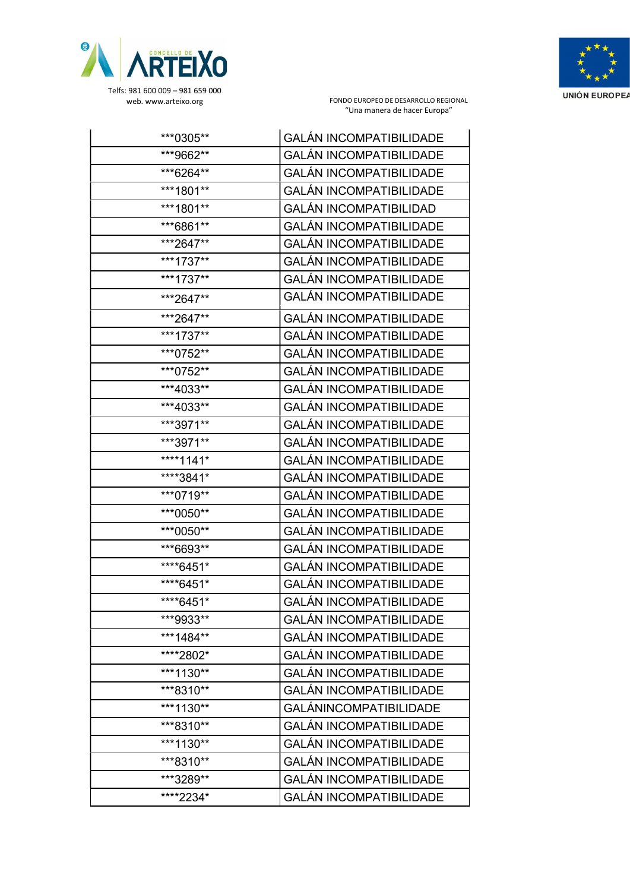



| ***0305**  | <b>GALÁN INCOMPATIBILIDADE</b> |
|------------|--------------------------------|
| ***9662**  | <b>GALÁN INCOMPATIBILIDADE</b> |
| ***6264**  | <b>GALÁN INCOMPATIBILIDADE</b> |
| ***1801**  | <b>GALÁN INCOMPATIBILIDADE</b> |
| ***1801**  | <b>GALÁN INCOMPATIBILIDAD</b>  |
| ***6861**  | <b>GALÁN INCOMPATIBILIDADE</b> |
| ***2647**  | <b>GALÁN INCOMPATIBILIDADE</b> |
| ***1737**  | <b>GALÁN INCOMPATIBILIDADE</b> |
| ***1737**  | <b>GALÁN INCOMPATIBILIDADE</b> |
| ***2647**  | <b>GALÁN INCOMPATIBILIDADE</b> |
| ***2647**  | <b>GALÁN INCOMPATIBILIDADE</b> |
| ***1737**  | <b>GALÁN INCOMPATIBILIDADE</b> |
| ***0752**  | <b>GALÁN INCOMPATIBILIDADE</b> |
| ***0752**  | <b>GALÁN INCOMPATIBILIDADE</b> |
| ***4033**  | <b>GALÁN INCOMPATIBILIDADE</b> |
| ***4033**  | <b>GALÁN INCOMPATIBILIDADE</b> |
| ***3971**  | <b>GALÁN INCOMPATIBILIDADE</b> |
| ***3971**  | <b>GALÁN INCOMPATIBILIDADE</b> |
| ****1141*  | <b>GALÁN INCOMPATIBILIDADE</b> |
| ****3841*  | <b>GALÁN INCOMPATIBILIDADE</b> |
| ***0719**  | <b>GALÁN INCOMPATIBILIDADE</b> |
| ***0050**  | <b>GALÁN INCOMPATIBILIDADE</b> |
| ***0050**  | <b>GALÁN INCOMPATIBILIDADE</b> |
| ***6693**  | <b>GALÁN INCOMPATIBILIDADE</b> |
| ****6451*  | <b>GALÁN INCOMPATIBILIDADE</b> |
| ****6451*  | <b>GALÁN INCOMPATIBILIDADE</b> |
| ****6451*  | <b>GALÁN INCOMPATIBILIDADE</b> |
| ***9933**  | <b>GALÁN INCOMPATIBILIDADE</b> |
| ***1484**  | <b>GALÁN INCOMPATIBILIDADE</b> |
| *****2802* | <b>GALÁN INCOMPATIBILIDADE</b> |
| ***1130**  | <b>GALÁN INCOMPATIBILIDADE</b> |
| ***8310**  | <b>GALÁN INCOMPATIBILIDADE</b> |
| ***1130**  | <b>GALÁNINCOMPATIBILIDADE</b>  |
| ***8310**  | <b>GALÁN INCOMPATIBILIDADE</b> |
| ***1130**  | <b>GALÁN INCOMPATIBILIDADE</b> |
| ***8310**  | <b>GALÁN INCOMPATIBILIDADE</b> |
| ***3289**  | <b>GALÁN INCOMPATIBILIDADE</b> |
| ****2234*  | <b>GALÁN INCOMPATIBILIDADE</b> |